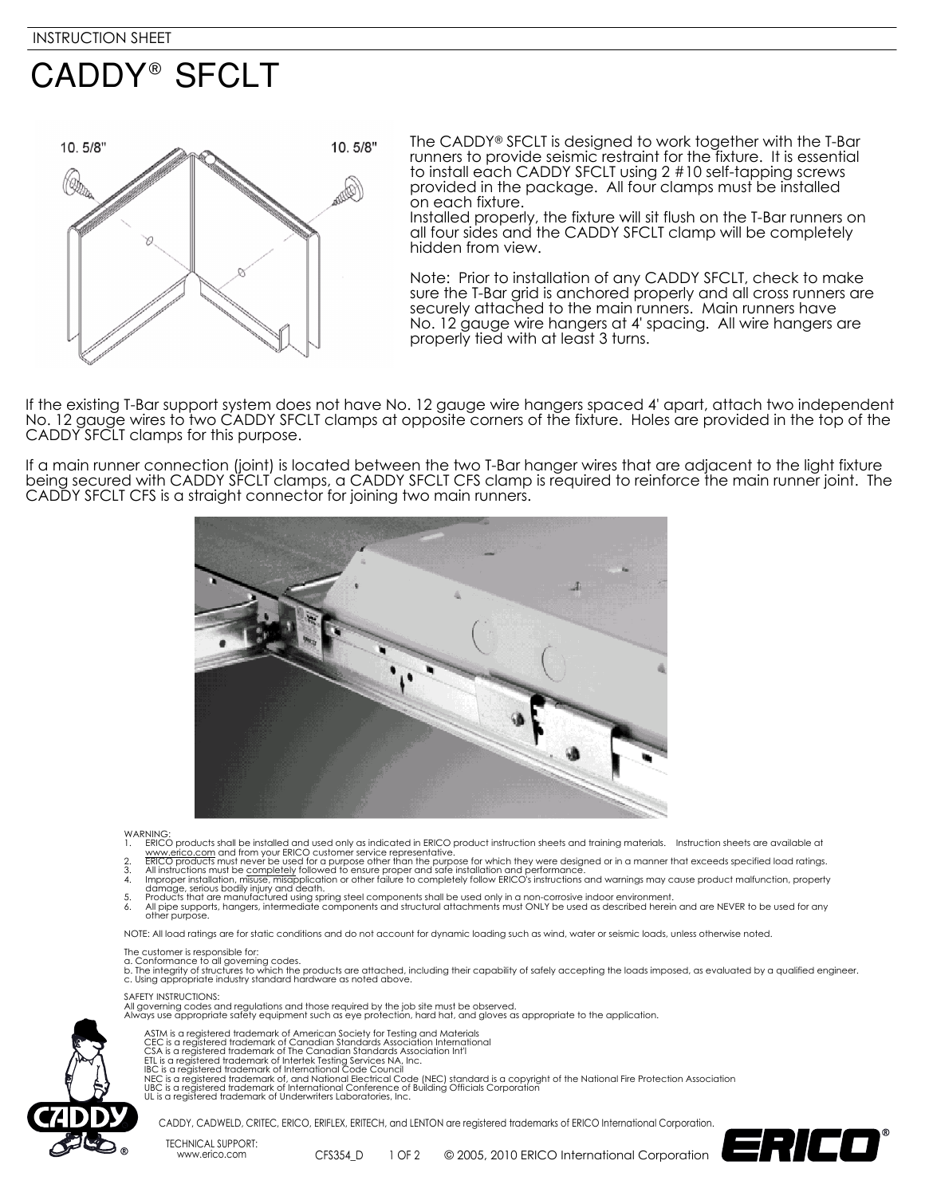# **CADDY® SFCLT**



The CADDY<sup>®</sup> SFCLT is designed to work together with the T-Bar runners to provide seismic restraint for the fixture. It is essential to install each CADDY SFCLT using 2 #10 self-tapping screws provided in the package. All four clamps must be installed on each fixture.

Installed properly, the fixture will sit flush on the T-Bar runners on all four sides and the CADDY SFCLT clamp will be completely hidden from view.

Note: Prior to installation of any CADDY SFCLT, check to make sure the T-Bar grid is anchored properly and all cross runners are securely attached to the main runners. Main runners have No. 12 gauge wire hangers at 4' spacing. All wire hangers are properly tied with at least 3 turns.

If the existing T-Bar support system does not have No. 12 gauge wire hangers spaced 4' apart, attach two independent No. 12 gauge wires to two CADDY SFCLT clamps at opposite corners of the fixture. Holes are provided in the top of the CADDY SFCLT clamps for this purpose.

If a main runner connection (joint) is located between the two T-Bar hanger wires that are adjacent to the light fixture being secured with CADDY SFCLT clamps, a CADDY SFCLT CFS clamp is required to reinforce the main runner joint. The CADDY SFCLT CFS is a straight connector for joining two main runners.



#### **WARNING**

- 
- 
- 
- 1. ERICO products shall be installed and used only as indicated in ERICO product instruction sheets and training materials. Instruction sheets are available at www.erico.com and from your ERICO costomer service representat

NOTE: All load ratings are for static conditions and do not account for dynamic loading such as wind, water or seismic loads, unless otherwise noted.

### The customer is responsible for:

a. Conformance to all governing codes.<br>b. The integrity of structures to which the products are attached, including their capability of safely accepting the loads imposed, as evaluated by a qualified engineer. c. Using appropriate industry standard hardware as noted above.

#### SAFETY INSTRUCTIONS:

All governing codes and regulations and those required by the job site must be observed. Always use appropriate safety equipment such as eye protection, hard hat, and gloves as appropriate to the application.



- 
- 
- 
- 
- ASTM is a registered trademark of American Society for Testing and Materials<br>CEC is a registered trademark of Canadian Standards Association International<br>CSA is a registered trademark of Canadian Standards Association Int
- 
- 



CADDY, CADWELD, CRITEC, ERICO, ERIFLEX, ERITECH, and LENTON are registered trademarks of ERICO International Corporation.

TECHNICAL SUPPORT: www.erico.com CFS354\_D

1 OF 2 © 2005, 2010 ERICO International Corporation